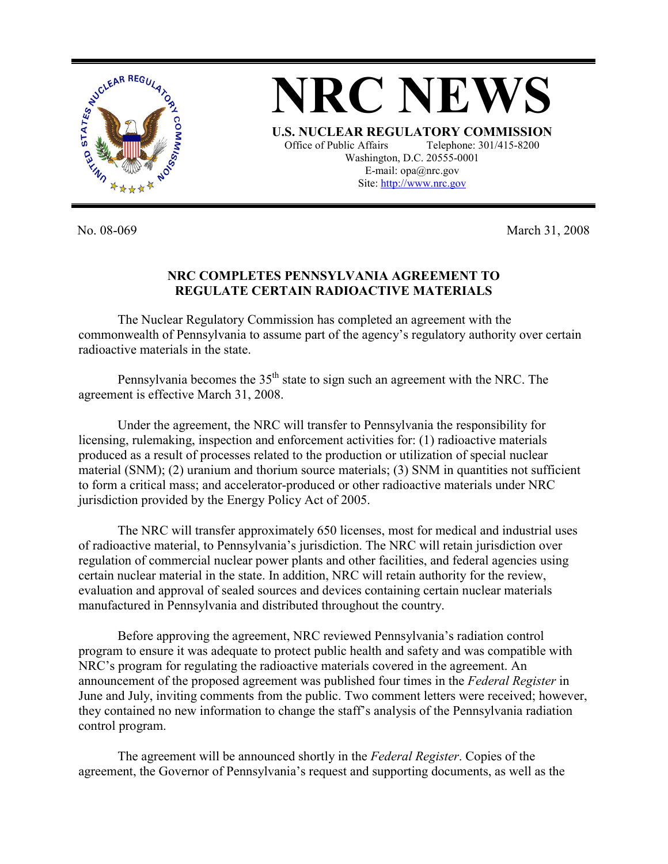

No. 08-069 March 31, 2008

## **NRC COMPLETES PENNSYLVANIA AGREEMENT TO REGULATE CERTAIN RADIOACTIVE MATERIALS**

The Nuclear Regulatory Commission has completed an agreement with the commonwealth of Pennsylvania to assume part of the agency's regulatory authority over certain radioactive materials in the state.

Pennsylvania becomes the  $35<sup>th</sup>$  state to sign such an agreement with the NRC. The agreement is effective March 31, 2008.

Under the agreement, the NRC will transfer to Pennsylvania the responsibility for licensing, rulemaking, inspection and enforcement activities for: (1) radioactive materials produced as a result of processes related to the production or utilization of special nuclear material (SNM); (2) uranium and thorium source materials; (3) SNM in quantities not sufficient to form a critical mass; and accelerator-produced or other radioactive materials under NRC jurisdiction provided by the Energy Policy Act of 2005.

The NRC will transfer approximately 650 licenses, most for medical and industrial uses of radioactive material, to Pennsylvania's jurisdiction. The NRC will retain jurisdiction over regulation of commercial nuclear power plants and other facilities, and federal agencies using certain nuclear material in the state. In addition, NRC will retain authority for the review, evaluation and approval of sealed sources and devices containing certain nuclear materials manufactured in Pennsylvania and distributed throughout the country.

Before approving the agreement, NRC reviewed Pennsylvania's radiation control program to ensure it was adequate to protect public health and safety and was compatible with NRC's program for regulating the radioactive materials covered in the agreement. An announcement of the proposed agreement was published four times in the *Federal Register* in June and July, inviting comments from the public. Two comment letters were received; however, they contained no new information to change the staff's analysis of the Pennsylvania radiation control program.

The agreement will be announced shortly in the *Federal Register*. Copies of the agreement, the Governor of Pennsylvania's request and supporting documents, as well as the